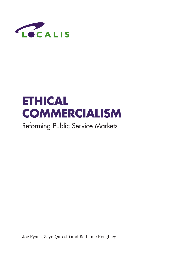

# **ETHICAL COMMERCIALISM**

# Reforming Public Service Markets

Joe Fyans, Zayn Qureshi and Bethanie Roughley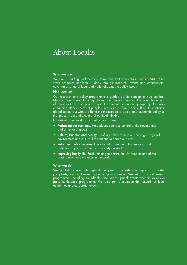# About Localis

# Who we are

We are a leading, independent think tank that was established in 2001. Our work promotes neo-localist ideas through research, events and commentary, covering a range of local and national domestic policy issues.

# Neo-localism

Our research and policy programme is guided by the concept of neo-localism. Neo-localism is about giving places and people more control over the effects of globalisation. It is positive about promoting economic prosperity, but also enhancing other aspects of people's lives such as family and culture. It is not antiglobalisation, but wants to bend the mainstream of social and economic policy so that place is put at the centre of political thinking.

In particular our work is focused on four areas:

- Reshaping our economy. How places can take control of their economies and drive local growth.
- Culture, tradition and beauty. Crafting policy to help our heritage, physical environment and cultural life continue to enrich our lives.
- Reforming public services. Ideas to help save the public services and institutions upon which many in society depend.
- **Improving family life.** Fresh thinking to ensure the UK remains one of the most family-friendly places in the world.

# What we do

We publish research throughout the year, from extensive reports to shorter pamphlets, on a diverse range of policy areas. We run a broad events programme, including roundtable discussions, panel events and an extensive party conference programme. We also run a membership network of local authorities and corporate fellows.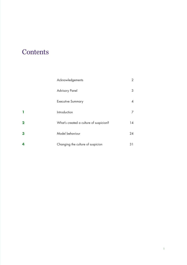# **Contents**

|                         | Acknowledgements                       | $\overline{2}$ |
|-------------------------|----------------------------------------|----------------|
|                         | <b>Advisory Panel</b>                  | 3              |
|                         | <b>Executive Summary</b>               | 4              |
| ٦                       | Introduction                           | 7              |
| $\overline{\mathbf{2}}$ | What's created a culture of suspicion? | 14             |
| 3                       | Model behaviour                        | 24             |
| 4                       | Changing the culture of suspicion      | 31             |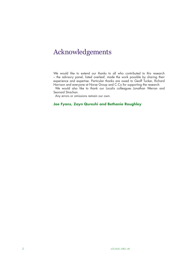# Acknowledgements

We would like to extend our thanks to all who contributed to this research – the advisory panel, listed overleaf, made the work possible by sharing their experience and expertise. Particular thanks are owed to Geoff Tucker, Richard Harrison and everyone at Norse Group and C.Co for supporting the research.

We would also like to thank our Localis colleagues Jonathan Werran and Seonaid Strachan.

Any errors or omissions remain our own.

# **Joe Fyans, Zayn Qureshi and Bethanie Roughley**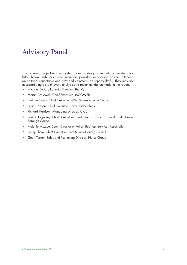# Advisory Panel

This research project was supported by an advisory panel, whose members are listed below. Advisory panel members provided one-on-one advice, attended an editorial roundtable and provided comments on reports drafts. They may not necessarily agree with every analysis and recommendation made in the report.

- Michael Burton, Editorial Director, The MJ
- Martin Cresswell, Chief Executive, iMPOWER
- Nathan Elvery, Chief Executive, West Sussex County Council
- Sean Hanson, Chief Executive, Local Partnerships
- Richard Harrison, Managing Director, C.Co
- Sandy Hopkins, Chief Executive, East Hants District Council and Havant Borough Council
- Melanie Maxwell-Scott, Director of Policy, Business Services Association
- Becky Shaw, Chief Executive, East Sussex County Council
- Geoff Tucker, Sales and Marketing Director, Norse Group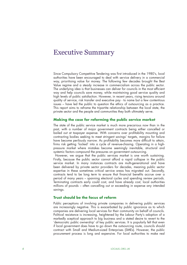# Executive Summary

Since Compulsory Competitive Tendering was first introduced in the 1980's, local authorities have been encouraged to deal with service delivery in a commercial way, prioritising value for money. The following few decades brought the Best Value regime and a steady increase in commercialism across the public sector. The underlying idea is that businesses can deliver for councils in the most efficient way and help councils save money, while maintaining good service quality and high levels of public satisfaction. However, in recent years, rising tensions around quality of service, risk transfer and executive pay - to name but a few contentious issues – have led the public to question the ethics of outsourcing as a practice. This report aims to reframe the tripartite relationship between the local state, the private sector and the people and communities they both ultimately serve.

# **Making the case for reforming the public service market**

The state of the public service market is much more precarious now than in the past, with a number of major government contracts being either cancelled or bailed out at taxpayer expense. With concerns over profitability mounting and contracting bodies seeking to meet stringent savings' targets, margins for failure have become perilously narrow. As profitability becomes more difficult to attain, firms risk getting 'locked' into a cycle of revenue-chasing. Operating in a highpressure market where mistakes become seemingly inevitable, structural and systemic factors compound the pressures on government outsourcing.

However, we argue that the public services market is one worth sustaining. Firstly, because the public sector cannot afford a rapid collapse in the public service market. In many instances contracts are multi-generational and have been delivered by private sector providers for decades, meaning public sector expertise in these sometimes critical service areas has migrated out. Secondly, contracts tend to be long term to ensure that financial benefits accrue over a period of many years – spanning electoral cycles and spending review periods. Terminating contracts early could cost, and have already cost, local authorities millions of pounds – often cancelling out or exceeding in expense any intended savings.

# **Trust should be the focus of reform**

Public perceptions of involving private companies in delivering public services are increasingly negative. This is exacerbated by public ignorance as to which companies are delivering local services for their community on behalf of councils. Political resistance is increasing, heightened by the Labour Party's adoption of a markedly sceptical approach to big business and a stated desire to revert to the 'democratic public ownership' of key public services. It is popularly felt that even if local government does have to go down the outsourcing route, councils should contract with Small and Medium-sized Enterprises (SMEs). However, the public procurement process is long and expensive. For local authorities to make real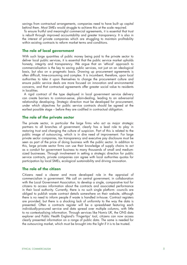savings from contractual arrangements, companies need to have built up capital behind them. Most SMEs would struggle to achieve this at the scale required.

To ensure fruitful and meaningful commercial agreements, it is essential that trust is rebuilt through improved accountability and greater transparency. It is also in the interest of private companies which are struggling to maintain profitability within existing contracts to reform market terms and conditions.

# **The role of local government**

With such large quantities of public money being paid to the private sector to deliver local public services, it is essential that the public service market upholds honesty, integrity and transparency. We argue that an 'ethical' approach to commercialisation is the key to saving public services, not just on an ideological basis, but also on a pragmatic basis. Drawing up procurement agreements is often difficult, time-consuming and complex. It is incumbent, therefore, upon local authorities to take it upon themselves to change the procurement culture and ensure public service deals are more focused on innovation and environmental concerns, and that contractual agreements offer greater social value to residents in localities.

A rigid contract of the type deployed in local government service delivery can create barriers to common-sense, plain-dealing, leading to an adversarial relationship developing. Strategic direction must be developed for procurement, under which objectives for public service contracts should be agreed at the earliest possible stage – before they are codified in contractual obligation.

# **The role of the private sector**

The private sector, in particular the large firms who act as major strategic partners to all branches of government, clearly has a lead role to play in restoring trust and changing the culture of suspicion. Part of this is related to the public image of outsourcing, which is in dire need of improvement. For large private sector companies, tax transparency and executive pay disclosure must be seen as part of the price of doing business with the public sector. In addition to this, large private sector firms can use their knowledge of supply chains to act as a conduit for government business to many thousands of small and mediumsized businesses. Through involvement in setting a strategic direction for public service contracts, private companies can agree with local authorities quotas for participation by local SMEs, ecological sustainability and driving innovation.

# **The role of the citizen**

Citizens need a clearer and more developed role in the appraisal of commercialism in government. We call on central government, in collaboration with the Local Government Association, to develop a single, comparative tool for citizens to access information about the contracts and associated performance in their local authority. Currently, there is no such single platform: councils are obliged to publish waste contract details somewhere on their website, although there is no need to inform people if waste is handled in-house. Contract registers are provided, but there is a shocking lack of uniformity to the way the data is presented. Often a contracts register will be a spreadsheet featuring each individually-procured service and data spread over multiple columns, with little to no contextualising information. Through services like Nomis UK, the ONS data explorer and Public Health England's 'Fingertips' tool, citizens can now access clearly presented information on a range of public data. The same is needed for the outsourcing market, which must be brought into the light if it is to be trusted.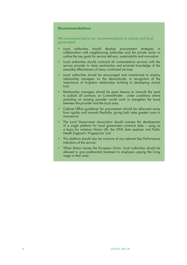# **Recommendations**

We summarise below our recommendations to central and local government.

- Local authorities should develop procurement strategies in collaboration with neighbouring authorities and the private sector to outline the key goals for service delivery, sustainability and innovation
- Local authorities should co-brand all contracted-out services with the service provider to stress partnership and promote knowledge of the everyday effectiveness of many contracted services.
- Local authorities should be encouraged and incentivised to employ relationship managers on the demand-side, in recognition of the importance of long-term relationship building to developing mutual trust.
- Relationship managers should be given leeway to overrule the need to publish all contracts on ContractFinder - under conditions where awarding an existing provider would work to strengthen the bond between the provider and the local area.
- Cabinet Office guidelines for procurement should be refocused away from rigidity and towards flexibility, giving both sides greater room to manoeuvre.
- The Local Government Association should oversee the development of a single platform for local government contracts data – using as a basis for imitation Nomis UK, the ONS data explorer and Public Health England's 'Fingerprints' tool.
- This platform should also be inclusive of any relevant Key Performance Indicators of the service.
- When Britain leaves the European Union, local authorities should be allowed to give preferential treatment to employers paying the living wage in their area.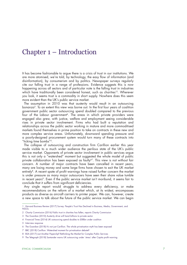# Chapter 1 – Introduction

It has become fashionable to argue there is a crisis of trust in our institutions. We are more atomised, we're told, by technology, the easy flow of information (and disinformation), by consumerism and by politics. Newspaper surveys regularly cite our falling trust in a range of professions. Evidence suggests this is now happening across all sectors and of particular note is the falling trust in industries which have traditionally been considered honest, such as charities<sup>12</sup>. Wherever you look, it seems trust is a commodity in short supply. Nowhere does this seem more evident than the UK's public service market.

The assumption in 2010 was that austerity would result in an outsourcing bonanza<sup>3</sup>. To an extent this view was borne out. In the first four years of coalition government public sector outsourcing spend doubled compared to the previous four of the Labour government<sup>4</sup>. The areas in which private providers were engaged also grew, with justice, welfare and employment seeing considerable rises in private sector involvement. Firms who had built a reputation and relationships across the public sector working in mature and more commoditised markets found themselves in prime position to take on contracts in these new and more complex service areas. Unfortunately, downward spending pressure and a poorly-designed procurement system would turn many of these contracts into "ticking time bombs"5.

The collapse of outsourcing and construction firm Carillion earlier this year made visible to a much wider audience the perilous state of the UK's public service market. Opponents of private sector involvement in public services argue this is not only a "watershed" moment but suggested the whole model of public private collaboration has been exposed as faulty<sup>67</sup>. This view is not without fair concern. A number of major contracts have been cancelled in recent years, many are losing money and some large firms have chosen to exit the UK market entirely<sup>8</sup>. A recent spate of profit warnings have raised further concern the market is under pressure as many major outsourcers have seen their share value tumble in recent years<sup>9</sup>. Even if the public service market isn't moribund, it seems fair to conclude that it suffers from significant deficiencies.

Any single report would struggle to address every deficiency, or make recommendations on the reform of a market which, at its widest, encompasses products as diverse as aircraft carriers to printer paper. We can, however, create a new space to talk about the future of the public service market. We can begin

<sup>1</sup> Harvard Business Review (2017) [Survey: People's Trust Has Declined in Business, Media, Government, and](https://hbr.org/2017/01/survey-peoples-trust-has-declined-in-business-media-government-and-ngos)  **[NGOs](https://hbr.org/2017/01/survey-peoples-trust-has-declined-in-business-media-government-and-ngos)** 

<sup>2</sup> Charity Commission (2016) Public trust in charities has fallen, reports Charity Commission

<sup>3</sup> The Guardian (2010) [Austerity drive will hand billions to private sector](https://www.theguardian.com/politics/2010/jul/16/austerity-drive-billions-private-sector)

<sup>4</sup> Financial Times (2014) [UK outsourcing spend doubles to £88bn under coalition](https://www.ft.com/content/c9330150-0364-11e4-9195-00144feab7de) 

<sup>5</sup> Interview response

<sup>6</sup> The Guardian (2018) [It's not just Carillion. The whole privatisation myth has been exposed](https://www.theguardian.com/commentisfree/2018/jan/22/carillion-privatisation-myth-councils-pfi-contracts)

<sup>7</sup> BBC (2018) [Carillion: Watershed moment for privatisation debate?](https://www.bbc.co.uk/news/uk-politics-42688295)

<sup>8</sup> BSA (2017) [Just Another Paperclip? Rethinking the Market for Complex Public Services](http://www.bsa-org.com/wp-content/uploads/2017/04/Just-Another-Paperclip-FINAL.pdf)

<sup>9</sup> The Telegraph (2018) [Santander warns UK outsourcing under 'stress' after Capita profit warning](https://www.telegraph.co.uk/business/2018/01/31/santander-warns-uk-outsourcing-stress-capita-profit-warning/)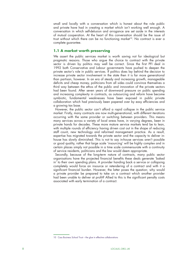small and locally with a conversation which is honest about the role public and private have had in creating a market which isn't working well enough. A conversation in which self-delusion and arrogance are set aside in the interests of mutual cooperation. At the heart of this conversation should be the issue of trust without which there can be no functioning market<sup>10</sup>. No contract is ever a complete guarantee.

# **1.1 A market worth preserving**

We assert the public services market is worth saving not for ideological but pragmatic reasons. Those who argue the choice to contract with the private sector is driven by politics may well be correct. Since the first PFI deal in 1992 both Conservative and Labour governments have pushed to deepen the private sector's role in public services. If politics does lay behind the decision to increase private sector involvement in the state then it is far more generational than partisan, however. In an era of steady and increasing growth, manageable deficits and cheap money, politicians from all sides could convince themselves a third way between the ethos of the public and innovation of the private sectors had been found. After seven years of downward pressure on public spending and increasing complexity in contracts, as outsourcing and reform have become symbiotic, fundamental weaknesses have been exposed in public private collaboration which had previously been papered over by easy efficiencies and a growing tax base.

However, the public sector can't afford a rapid collapse in the public service market. Firstly, many contracts are now multi-generational, with different iterations occurring with the same provider or switching between providers. This means many services across a variety of local areas have, in varying degrees, been in private hands for decades. These more mature service markets tend be to lean, with multiple rounds of efficiency having driven cost out in the shape of reducing staff count, new technology and reformed management practice. As a result, expertise has migrated towards the private sector and the capacity to deliver inhouse has slowly diminished. This is not to say in-house services aren't possible or good quality, rather that large scale 'insourcing' will be highly complex and in certain places simply not possible in a time scale commensurate with a continuity of service residents, politicians and the law would deem appropriate.

Secondly, because of the long-term nature of contracts, many public sector organisations have the projected financial benefits these deals generate 'baked in' to their own spending plans. A provider handing back a service or collapsing completely would force an insource or retendering of a contract and with it a significant financial burden. However, the latter poses the question; why would a private provider be prepared to take on a contract which another provider had been unable to deliver at profit? Allied to this is the significant penalty costs associated with early termination of a contract.

<sup>10</sup> Cass Business School Trust - the glue in effective collaborations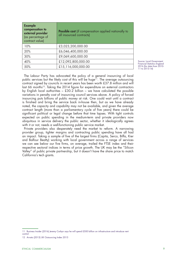| <b>Example</b><br>compensation to<br>external provider<br>(as percentage of<br>contract value) | <b>Possible cost</b> (if compensation applied nationally to<br>all insourced contracts) |
|------------------------------------------------------------------------------------------------|-----------------------------------------------------------------------------------------|
| 10%                                                                                            | £3,023,200,000.00                                                                       |
| 20%                                                                                            | £6,046,400,000.00                                                                       |
| 30%                                                                                            | £9,069,600,000.00                                                                       |
| 40%                                                                                            | £12,092,800,000.00                                                                      |
| 50%                                                                                            | £15,116,000,000.00                                                                      |

Source: Local Government Financial Statistics England 2016 (for data from 2010- 11 to 2013-14)

The Labour Party has advocated the policy of a general insourcing of local public services but the likely cost of this will be huge<sup>11</sup>. The average outsourcing contract signed by councils in recent years has been worth £37.8 million and will last 66 months<sup>12</sup>. Taking the 2014 figure for expenditure on external contractors by English local authorities – £30.2 billion – we have calculated the possible variations in penalty cost of insourcing council services above. A policy of forced insourcing puts billions of public money at risk. One could wait until a contract is finished and bring the service back in-house then, but as we have already noted, the capacity and capability may not be available, and given the average contract length (more than a parliamentary cycle of five years) there could be significant political or legal change before that time lapses. With tight controls expected on public spending in the medium-term and private providers now ubiquitous in service delivery the public sector, whether it ideologically agrees with it or not, needs a well-functioning public service market.

Private providers also desperately need the market to reform. A narrowing provider group, tighter margins and contracting public spending have all had an impact. Taking a sample of five of the largest firms (Capita, Serco, Biffa, Kier and Balfour Beatty) working with local government across a range of services we can see below our five firms, on average, trailed the FTSE index and their respective sectoral indices in terms of price growth. The UK may be the "Silicon Valley" of public private partnership, but it doesn't have the share price to match California's tech giants.

<sup>11</sup> Business Insider (2016) [Jeremy Corbyn says he will spend £500 billion on infrastructure and introduce rent](http://uk.businessinsider.com/jeremy-corbyn-speech-lays-out-10-new-policies-2016-8)  [control](http://uk.businessinsider.com/jeremy-corbyn-speech-lays-out-10-new-policies-2016-8)

<sup>12</sup> Arvato (2015) [UK Outsourcing Index 2015](https://www.arvato.com/content/dam/arvato/documents/reports/studies/Arvato-UKOutsourcing-Infographic-Design-Fullyear-OUTLINED-2015-08.pdf)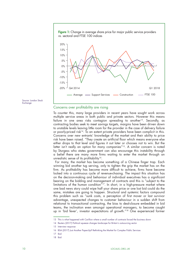Figure 1: Change in average share price for major public service providers vs. sectoral and FTSE 100 indices





#### Concerns over profitability are rising

To counter this, many large providers in recent years have sought work across multiple service areas in both public and private sectors. However this means failure in one area risks contagion spreading to another<sup>13</sup>. Secondly, as contracting bodies seek to meet savings targets, margins have been driven down to unstable levels leaving little room for the provider in the case of delivery failure or poorly-priced risk<sup>14</sup>. To an extent private providers have been complicit in this. Concerns over new entrants' knowledge of the market and their ability to price risk have been raised. "They create an artificial floor which means everyone else either drops to that level and figures it out later or chooses not to win. But the latter isn't really an option for many companies"<sup>15</sup>. A similar concern is noted by Sturgess who states government can also encourage this instability through a belief there are many more firms waiting to enter the market through an unrealistic sense of its profitability<sup>16</sup>.

For many, the market has become something of a Chinese finger trap. Each winning bid another tug serving, only to tighten the grip the market has on the firm. As profitability has become more difficult to achieve, firms have become locked into a continuous cycle of revenue-chasing. The impact this situation has on the decision-making and behaviour of individual executives has a significant bearing on the bidding and management of contracts and this is "subject to the limitations of the human condition<sup> $n_1$ 7</sup>. In short, in a high-pressure market where one bad news story could wipe half your share price or one lost bid could do the same, mistakes are going to happen. Structural and systemic factors compound this problem such as "sunk costs, a perception of first mover or last survivor advantage, unexpected changes to customer behaviour in a sudden shift from relational to transactional contracting, the bias to deal-closure embedded in bid teams, the inclination even amongst operational managers, to become caught up in 'bid fever', investor expectations of growth."<sup>18</sup> One experienced former

<sup>13</sup> This is what happened with Carillion where a small number of contracts forced the business down

<sup>14</sup> Reuters (2017) [Political squeeze changes landscape for Britain's outsourcing sector](https://uk.reuters.com/article/uk-britain-outsourcing/political-squeeze-changes-landscape-for-britains-outsourcing-sector-idUKKBN16A22I)

<sup>15</sup> Interview response

<sup>16</sup> BSA (2017) [Just Another Paperclip? Rethinking the Market for Complex Public Services](http://www.bsa-org.com/wp-content/uploads/2017/04/Just-Another-Paperclip-FINAL.pdf)

<sup>17</sup> Ibid

<sup>18</sup> Ibid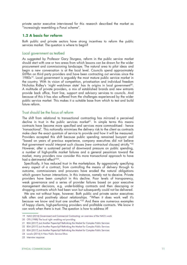private sector executive interviewed for this research described the market as "increasingly resembling a Ponzi scheme".

# **1.2 A basis for reform**

Both public and private sectors have strong incentives to reform the public services market. The question is where to begin?

# Local government as testbed

As suggested by Professor Gary Sturgess, reform in the public service market should start with one or two areas from which lessons can be drawn for the wider procurement and commissioning landscape. The natural area to pilot ideas and begin a new conversation is at the local level. Councils spend approximately £69bn on third party providers and have been contracting out services since the 1980s<sup>19</sup>. Local government is arguably the most mature public service market in the country. With its vision of competition, privatisation and individual freedom Nicholas Ridley's 'night watchman state' has its origins in local government<sup>20</sup>. A multitude of private providers, a mix of established brands and new entrants provide back office, front line, support and advisory services to councils. And because of this it has also suffered from the challenges experienced by the wider public service market. This makes it a suitable base from which to test and build future reform.

# Trust should be the focus of reform

The shift from relational to transactional contracting has mirrored a perceived decline in trust in the public services market<sup>21</sup>. In simple terms this means contracts have become more specified and services more commoditised - hence 'transactional'. This notionally minimises the delivery risk to the client as contracts make clear the exact quantum of service to provide and how it will be measured. Providers accepted this shift because public spending remained buoyant and "based on years of previous experience, company executives did not believe that government would interpret such clauses (new contractual clauses) strictly."22 However, after a sustained period of downward pressure on public spending, a number of high-profile market failures and a general pessimism toward the market, many providers now consider this more transactional approach to have had a detrimental effect<sup>2324</sup>.

Specifically, it has reduced trust in the marketplace. By aggressively specifying every aspect of a contract, from controlling the means of delivery through to outcome, commissioners and procurers have eroded the natural obligations which govern human interactions. In this instance, namely not to deceive. Private providers have been complicit in this decline. Poor levels of transparency, weak governance and a series of provider failures based on poor executive management decisions, e.g. under-bidding contracts and then descoping or dropping contracts which had been won but subsequently could not be delivered.

We are not without hope, however. Both public and private sector executives talk often and positively about *relationships*. "When it does work well it's because we know and trust one another."25 And there are numerous examples of happy clients, high-performing providers and profitable contracts. We know it can work when there is trust. The question is how to address it?

<sup>19</sup> [NAO \(2016\) Government and Commercial Contracting: an overview of the NAO's work](https://www.nao.org.uk/wp-content/uploads/2016/05/Government-Commercial-and-Contracting-overview-NAOs-work.pdf)

<sup>20</sup> CPS (1988) [The local right: enabling not providing](https://www.cps.org.uk/files/reports/original/111027172704-TheLocalRight1988.pdf) 

<sup>21</sup> BSA (2017) [Just Another Paperclip? Rethinking the Market for Complex Public Services](http://www.bsa-org.com/wp-content/uploads/2017/04/Just-Another-Paperclip-FINAL.pdf)

<sup>22</sup> BSA (2017) [Just Another Paperclip? Rethinking the Market for Complex Public Services](http://www.bsa-org.com/wp-content/uploads/2017/04/Just-Another-Paperclip-FINAL.pdf)

<sup>23</sup> BSA (2017) [Just Another Paperclip? Rethinking the Market for Complex Public Services](http://www.bsa-org.com/wp-content/uploads/2017/04/Just-Another-Paperclip-FINAL.pdf)

<sup>24</sup> Localis (2016) [A New Public Service Ethos](https://www.localis.org.uk/wp-content/uploads/2016/11/Localis-A-New-Public-Service-Ethos.pdf)

<sup>25</sup> Interview response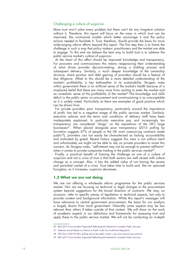# Challenging a culture of suspicion

More trust won't solve every problem but there can't be any long-term solution without it. Therefore, this report will focus on the ways in which trust can be improved, the contractual models which better encourage it and the policy actions needed to facilitate it. Trust, therefore, should provide the basis for more wide-ranging reform efforts beyond this report. The first step then is to frame the challenge in such a way that policy makers, practitioners and the market are able to engage. To this end we believe the best way to build trust is to address the public service market's *culture of suspicion*.

At the heart of this effort should be improved knowledge and transparency. For procurers and commissioners this means reappraising their understanding of what drives provider decision-making, during a bidding process and subsequent delivery. Similarly, a much deeper knowledge of the ownership structure, share position and debt gearing of providers should be a feature of due diligence. Allied to this should be a more detailed understanding of the market's profitability, a key bellweather to its sustainability. Sturgess notes within government there is an artificial sense of the market's health because of a misplaced belief that there are many more firms waiting to enter the market and an unrealistic sense of the profitability of the market<sup>26</sup>. The knowledge and skills deficit in the public sector on procurement and commissioning is as unacceptable as it is widely noted. Particularly as there are examples of good practice which can be drawn from.

For private providers poor transparency, particularly around the importance of profit, has led to a negative image of the public services market. Similarly, executive salaries and the terms and conditions of delivery staff have been inadequately explained. In particular executive pay and increasingly tax transparency are considered "drags" on the reputations of the UK's large businesses<sup>27</sup>. When placed alongside poor transparency (2015 polling by Survation suggests 67% of people in the UK want outsourcing contracts made public28), providers can too easily be characterised as lacking accountability and motivated by greed. Recent history suggests this view is not without merit and unfortunately we might not be able to rely on private providers to arrest this concern. As Sturgess notes, "self-interest may not be enough to prevent self-harm" when it comes to private companies trading in the public services market<sup>29</sup>.

Finally, a practical benefit of framing the challenge as one of a *culture of suspicion* and not a *crisis of trust* is that both sectors are well versed with culture change as a concept. Also, it has the added value of not having the severe and panicked cachet of a *crisis*. Trust takes time to build and, like an upturned hourglass, as it increases, suspicion decreases.

# **1.3 What we are not doing**

We are not offering a wholesale reform programme for the public services market. Nor are we focusing on technical or legal changes to the procurement system beyond suggestions for the broad direction of contracts. We may, on occasion, refer to specific pieces of legislation or technical aspects, but only to provide context and background information. While this report's messages will have relevance to central government procurement, the basis for our analysis is largely drawn from local government. Naturally some aspects may be less relevant than others if taken outside of that context. We will draw on the work of academic experts in our definitions and frameworks for assessing trust and apply these to the public service market. We will not be conducting an in-depth

<sup>26</sup> BSA (2017) [Just Another Paperclip? Rethinking the Market for Complex Public Services](http://www.bsa-org.com/wp-content/uploads/2017/04/Just-Another-Paperclip-FINAL.pdf)

<sup>27</sup> Edelman [Social Media on Notice as Public Calls Out Insufficient Regulation](https://www.edelman.co.uk/wp-content/uploads/Website-Edelman-Trust-Barometer-Press-Release-2018.pdf) 

<sup>28</sup> We Own It (2015) [New polling shows the public wants a say over outsourcing contracts](https://weownit.org.uk/blog/new-polling-shows-public-wants-say-over-outsourcing-contracts)

<sup>29</sup> BSA (2017) [Just Another Paperclip? Rethinking the Market for Complex Public Services](http://www.bsa-org.com/wp-content/uploads/2017/04/Just-Another-Paperclip-FINAL.pdf)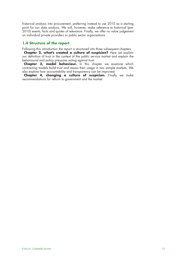historical analysis into procurement, preferring instead to use 2010 as a starting point for our data analysis. We will, however, make reference to historical (pre-2010) events, facts and quotes of relevance. Finally, we offer no value judgement on individual private providers or public sector organisations.

# **1.4 Structure of the report**

Following this introduction the report is structured into three subsequent chapters.

**Chapter 2, what's created a culture of suspicion?** Here we explain our definition of trust in the context of the public service market and explain the behavioural and policy pressures acting against trust.

**Chapter 3, model behaviour.** In this chapter we examine which contracting models build trust and assess their usage in two sample markets. We also explore how accountability and transparency can be improved.

**Chapter 4, changing a culture of suspicion.** Finally we make recommendations for reform to government and the market.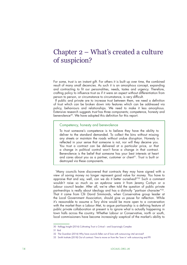# Chapter 2 – What's created a culture of suspicion?

For some, trust is an instant gift. For others it is built up over time, the combined result of many small decencies. As such it is an amorphous concept, expanding and contracting to fit our personalities, needs, tastes and urgency. Therefore, crafting policy to influence trust as if it were an aspect without differentiation from person to person, or circumstance to circumstance, is very difficult.

If public and private are to increase trust between them, we need a definition of trust which can be broken down into features which can be addressed via policy, behaviours and relationships. We need to make it less amorphous. Extensive research suggests *trust* has three components; competence, honesty and benevolence<sup>30</sup>. We have adopted this definition for this report.

#### Competency, honesty and benevolence

To trust someone's competence is to believe they have the ability to deliver to the standard demanded. To collect the bins without missing any streets or maintain the roads without undue disruption. Honesty is reflected in your sense that someone is not, nor will they deceive you. You trust a contract can be delivered at a particular price, or that a change in political control won't force a change in that contract. Benevolence is the belief that someone has your best interests at heart and cares about you as a partner, customer or client<sup>31</sup>. Trust is built or destroyed via these components.

"Many councils have discovered that contracts they may have signed with a view of saving money no longer represent good value for money. You have to appraise that and say, well, can we do it better ourselves?"32 Such a comment wouldn't raise so much as an eyebrow were it from Jeremy Corbyn or a Labour council leader. After all, we're often told the question of public private partnerships is really about ideology and has a distinctly "partisan character"33. That it came from Cllr David Simmonds, when Conservative group leader at the Local Government Association, should give us pause for reflection. While it's reasonable to assume a Tory shire would be more open to a conversation with the market than a Labour Met, to argue partisanship is a defining feature of public private collaboration at present is to ignore what is actually happening in town halls across the country. Whether Labour or Conservative, north or south, local commissioners have become increasingly sceptical of the market's ability to

<sup>30</sup> Kellogg Insight (2016) [Cultivating Trust is Critical – and Surprisingly Complex](https://insight.kellogg.northwestern.edu/article/cultivating-trust-is-critical-and-surprisingly-complex) 

<sup>31</sup> Ibid

<sup>32</sup> The Guardian (2016) [Why have councils fallen out of love with outsourcing vital services?](https://www.theguardian.com/society/2016/mar/02/councils-outsourcing-cumbria-public-private-partnership-in-house)

<sup>33</sup> Smith Institute (2018) [Out of contract: Time to move on from the 'love in' with outsourcing and PFI](http://www.smith-institute.org.uk/wp-content/uploads/2018/01/Out-of-contract-Time-to-move-on-from-the-‘love-in’-with-outsourcing-and-PFI.pdf)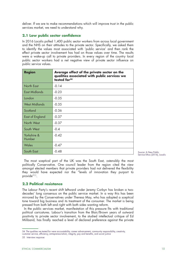deliver. If we are to make recommendations which will improve trust in the public services market, we need to understand why.

# **2.1 Low public sector confidence**

In 2016 Localis polled 1,400 public sector workers from across local government and the NHS on their attitudes to the private sector. Specifically, we asked them to identify the values most associated with 'public service' and then rank the effect private sector involvement has had on those values over time. The results were a wake-up call to private providers. In every region of the country local public sector workers had a net negative view of private sector influence on public service values.

| <b>Region</b>          | Average effect of the private sector on the<br>qualities associated with public services we<br>tested for <sup>34</sup> |
|------------------------|-------------------------------------------------------------------------------------------------------------------------|
| North East             | $-0.14$                                                                                                                 |
| East Midlands          | $-0.23$                                                                                                                 |
| London                 | $-0.35$                                                                                                                 |
| <b>West Midlands</b>   | $-0.35$                                                                                                                 |
| Scotland               | $-0.36$                                                                                                                 |
| <b>East of England</b> | $-0.37$                                                                                                                 |
| North West             | $-0.37$                                                                                                                 |
| South West             | $-0.4$                                                                                                                  |
| Yorkshire &<br>Humber  | $-0.42$                                                                                                                 |
| Wales                  | $-0.47$                                                                                                                 |
| South East             | $-0.48$                                                                                                                 |

Source: A New Public Service Ethos (2016), Localis

The most sceptical part of the UK was the South East, ostensibly the most politically Conservative. One council leader from the region cited the view amongst elected members that private providers had not delivered the flexibility they would have expected nor the "levels of innovation they purport to provide"<sup>35</sup>.

# **2.2 Political resistance**

The Labour Party's recent shift leftward under Jeremy Corbyn has broken a twodecades' long consensus on the public service market. In a way this has been mirrored by the Conservatives under Theresa May, who has adopted a sceptical tone toward big business and its treatment of the consumer. The market is being pressed from both left and right with both sides wanting reform.

In the public services market, manifestation of this pressure fits with traditional political caricatures. Labour's transition from the Blair/Brown years of outward positivity to private sector involvement, to the studied intellectual critique of Ed Miliband, has finally reached a level of declared preference against the private

<sup>34</sup> The qualities we tested for were accountability, career advancement, community responsibility, creativity, customer service, efficiency, entrepreneurialism, integrity, pay and benefits, and social justice

<sup>35</sup> Interview response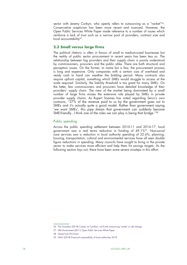sector with Jeremy Corbyn, who openly refers to outsourcing as a "racket"<sup>36</sup>. Conservative scepticism has been more recent and nuanced. However, the Open Public Services White Paper made reference to a number of issues which reinforce a lack of trust such as a narrow pool of providers, contract size and local accountability<sup>37</sup>.

# **2.3 Small versus large firms**

The political rhetoric is often in favour of small to medium-sized businesses but the reality of public sector procurement in recent years has been less so. The relationship between big providers and their supply chain is poorly understood by commissioners, procurers and the public alike. There are both structural and perception issues. On the former, to name but a few, the procurement process is long and expensive. Only companies with a certain size of overhead and ready cash to hand can weather the bidding period. Many contracts also require upfront capital, something which SMEs would struggle to access at the scale required. Similarly, the liability threshold is too great for many SMEs. On the latter, few commissioners and procurers have detailed knowledge of their providers' supply chain. The view of the market being dominated by a small number of large firms misses the extensive role played by SMEs in private provider supply chains. As Rupert Soames has noted regarding Serco's own contracts, "37% of the revenue paid to us by the government goes out to SMEs and it's actually quite a good model. Rather than government saying 'we want SMEs', this pipe dream that government can suddenly become SME-friendly...I think one of the roles we can play is being that bridge."<sup>38</sup>

# Public spending

Across the public spending settlement between 2010-11 and 2016-17, local government saw a real terms reduction in funding of 49.1%39. Non-social care services saw a reduction in local authority spending of 32.6%; planning, housing, transportation, cultural and environmental services have all seen double figure reductions in spending. Many councils have sought to bring in the private sector to make services more efficient and help them hit savings targets. As the following section lays out, there have been some severe missteps in this effort.

<sup>36</sup> The Guardian (2018) [Corbyn on Carillion: we'll end outsourcing 'racket' in rule change](https://www.theguardian.com/politics/2018/jan/18/corbyn-on-carillion-well-end-outsourcing-racket-in-rule-change)

<sup>37</sup> HM Government (2011) [Open Public Services White Paper](https://assets.publishing.service.gov.uk/government/uploads/system/uploads/attachment_data/file/255288/OpenPublicServices-WhitePaper.pdf)

<sup>38</sup> Quote from IFG Event

<sup>39</sup> NAO (2018) [Financial sustainability of local authorities 2018](https://www.nao.org.uk/wp-content/uploads/2018/03/Financial-sustainabilty-of-local-authorites-2018-Summary.pdf)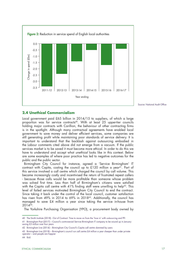

Source: National Audit Office

### **2.4 Unethical Commercialism**

Local government paid £65 billion in 2014/15 to suppliers, of which a large proportion was for service contracts<sup>40</sup>. With at least 25 upper-tier councils holding major contracts with Carillion, the behaviour of other contracting firms is in the spotlight. Although many contractual agreements have enabled local government to save money and deliver efficient services, some companies are still generating profit while maintaining poor standards of service delivery. It is important to understand that the backlash against outsourcing embodied in the Labour comments cited above did not emerge from a vacuum. If the public services market is to be saved it must become more ethical. In order to do this we have to understand and accept what *unethical* looks like in this context. Below are some examples of where poor practice has led to negative outcomes for the public and the public sector.

Birmingham City Council for instance, agreed a 'Service Birmingham' IT contract with Capita, costing the council up to £120 million a year<sup>41</sup>. Part of this service involved a call centre which charged the council by call volume. This became increasingly costly and incentivised the return of frustrated repeat callers - because those calls would be more profitable than someone whose problem was solved first time. Less than half of Birmingham's citizens were satisfied with the Capita call centre with 41% finding staff were unwilling to help<sup>42</sup>. This level of failed services motivated Birmingham City Council to end the contract. Since taking it back under the control of the local council, customer satisfaction has risen from 49% in 2014 to 69% in 2018<sup>43</sup>. Additionally, the council has managed to save £4 million a year since taking the service in-house from  $2014^{44}$ .

The Yorkshire Purchasing Organisation (YPO), a procurement body owned by

<sup>40</sup> The Smith Institute (2018) - [Out of Contract: Time to move on from the 'love in' with outsourcing and PFI](http://www.smith-institute.org.uk/wp-content/uploads/2018/01/Out-of-contract-Time-to-move-on-from-the-%E2%80%98love-in%E2%80%99-with-outsourcing-and-PFI.pdf)

<sup>41</sup> Birmingham Post (2017) – [Council's controversial Service Birmingham IT company to be wound up in January](https://www.birminghampost.co.uk/business/business-news/councils-controversial-service-birmingham-company-13916249)  [saving £3 million over four years](https://www.birminghampost.co.uk/business/business-news/councils-controversial-service-birmingham-company-13916249)

<sup>42</sup> Birmingham Live (2014) – [Birmingham City Council's Capita call centre slammed by users](https://www.birminghammail.co.uk/news/midlands-news/birmingham-city-councils-capita-call-7877344?_ga=2.232695257.750821083.1538470460-40963994.1537890975)

<sup>43</sup> Birmingham Live (2018) – [Birmingham's council run call centre £4 million a year cheaper than under private](https://www.birminghammail.co.uk/news/midlands-news/birminghams-council-run-call-centre-14768489)  [operator – and people are happier](https://www.birminghammail.co.uk/news/midlands-news/birminghams-council-run-call-centre-14768489)

<sup>44</sup> Ibid.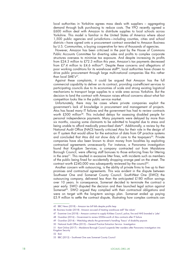local authorities in Yorkshire agrees mass deals with suppliers – aggregating demand through bulk purchasing to reduce costs. The YPO recently agreed a £600 million deal with Amazon to distribute supplies to local schools across Yorkshire. This model is familiar in the United States of America where about 1,500 public agencies and jurisdictions—including counties, cities and school districts—have signed onto a procurement contract awarded to Amazon Business by U.S. Communities, a buying cooperative for tens of thousands of agencies.

However, Amazon has been criticised in the past by the House of Commons Public Accounts Committee for diverting sales and profits to complex corporate structures overseas to minimise tax exposure. And despite increasing its profits from £24.3 million to £72.3 million this year, Amazon's tax payments decreased from £7.4 million to £4.6 million<sup>45</sup>. Despite these concerns and allegations of poor working conditions for its warehouse staff<sup>46</sup>, local authorities have chosen to drive public procurement through large multi-national companies like this rather than local SME's47.

Against these complaints, it could be argued that Amazon has the full commercial capability to deliver on its contract, providing cost-efficient services to participating councils due to its economies of scale and strong existing logistical mechanisms to transport large supplies to a wide area across Yorkshire. But the decision to land the contract with Amazon raises ethical concerns about what fair competition looks like in the public service market.

Unfortunately, there may be cases where private companies exploit the government's lack of knowledge in procurement and management of projects. Atos has faced many IT failures and the government has had to review contracts worth £500 million<sup>48</sup>. This included delays for assessing disabled people for personal independence payments. Many payments were delayed by more than six months, causing some claimants to be admitted to hospital due to stress and being unable to afford medically prescribed diets<sup>49</sup>. Additionally, a review by the National Audit Office (NAO) heavily criticised Atos for their role in the design of an IT system that would allow for the extraction of data from GP practice systems and concluded that Atos did not show duty of care to the taxpayers<sup>50</sup>. Private companies have also been known to drain money from localities by exploiting contractual agreements unnecessarily. For instance, a Panorama investigation found that Kingdom Services, a company contracted out from Maidstone Borough Council, were offering staff bonuses to those enforcing fines for littering in the area<sup>51</sup>. This resulted in excessive litter fines, with incidents such as members of the public being fined for accidentally dropping orange peel on the street. The contract worth £240,000 was subsequently reviewed by the council<sup>52</sup>.

Another concern with outsourcing, is the ability of private firms to live up to their promises and contractual agreements. This was evident in the dispute between Southwest One and Somerset County Council. SouthWest One (SWO) the outsourcing company, delivered less than the anticipated £180 million savings over 10 years. In consequence, Somerset decided to terminate the contract a year early. SWO disputed the decision and then launched legal action against Somerset<sup>53</sup>. SWO argued they complied with their contractual obligations and were on target with the long-term savings plan. Somerset ended up paying £5.9 million to settle the contract dispute, illustrating how complex contracts can

52 Ibid.

<sup>45</sup> BBC News (2018) – [Amazon tax bill falls despite profits leap](https://www.bbc.co.uk/news/business-45053528)

<sup>46</sup> Business Insider (2018) - [Amazon accused of treating warehouse staff 'like robots'](https://www.theguardian.com/business/2018/may/31/amazon-accused-of-treating-uk-warehouse-staff-like-robots
)

<sup>47</sup> Examiner Live (2018) – [Amazon contract to supply Kirklees Council, police, fire and NHS branded a 'joke'](https://www.examinerlive.co.uk/news/west-yorkshire-news/amazon-contract-supply-kirklees-council-14986299)

<sup>48</sup> Guardian (2016) – [Government to review £500m-worth of Atos contracts after IT failure](https://www.theguardian.com/society/2016/mar/06/government-to-review-500m-worth-of-atos-contracts-after-it-failure)

<sup>49</sup> Guardian (2014) – [Watchdog attacks the government's handling 'fiasco' of disability payouts](https://www.theguardian.com/society/2014/jun/20/watchdog-attacks-atos-disability-payouts-fiasco)

<sup>50</sup> National Audit Office (2015) – [General Practice Extraction Service - Investigation](https://www.nao.org.uk/report/general-practice-extraction-service-investigation/)

<sup>51</sup> Kent Online (2017) – [Maidstone Borough Council suspends litter wardens after Panorama investigation into](https://www.kentonline.co.uk/maidstone/news/litter-wardens-removed-from-duty-125758/)  [Kingdom Security](https://www.kentonline.co.uk/maidstone/news/litter-wardens-removed-from-duty-125758/)

<sup>53</sup> BBC (2012) – [Southwest One sues Somerset County Council](https://www.bbc.co.uk/news/uk-england-somerset-19493731)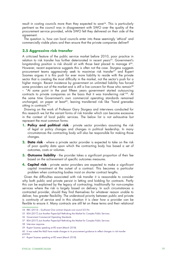result in costing councils more than they expected to save<sup>54</sup>. This is particularly pertinent as the council was in disagreement with SWO over the quality of the procurement service provided, while SWO felt they delivered on their side of the agreement.

The question is, how can local councils enter into these seemingly 'ethical' and commercially viable plans and then ensure that the private companies deliver?

# **2.5 Aggressive risk transfer**

A criticised feature of the public service market before 2010, poor practice in relation to risk transfer has further deteriorated in recent years<sup>55</sup>. Government's longstanding position is risk should sit with those best placed to manage it<sup>56</sup>. However, recent experience suggests this is often not the case. Sturgess suggests procurement teams aggressively seek to maximise risk transfer<sup>57</sup> and Rupert Soames argues it is this push for ever more liability to reside with the private sector that is creating the most difficulty in the market, not the sector's push for a higher margin. Recent insistence by government on unlimited liability has forced some providers out of the market and is still a live concern for those who remain<sup>58</sup> – "At some point in the past fifteen years government started outsourcing contracts to private companies on the basis that it was transferring risk"<sup>59</sup>. At the same time Government's own commercial operating standards remained unchanged, on paper at least<sup>60</sup>, leaving transferred risk like "hand grenades sitting in contracts"<sup>61</sup>.

Drawing on the work of Professor Gary Sturgess and interviews conducted for this research we list the variant forms of risk transfer which can become excessive in the context of local public services. The below list is not exhaustive but represent the most common forms:

- **1. Policy and political risk** private sector providers assuming the risk of legal or policy changes and changes in political leadership. In many circumstances the contracting body will also be responsible for making those changes.
- **2. Data risk** where a private sector provider is expected to take on the risk of poor quality data upon which the contracting body has based a set of outcomes, costs or volumes.
- **3. Outcome liability** the provider takes a significant proportion of their fee based on the achievement of specific outcomes measures.
- **4. Capital risk** private sector providers are expected to make a significant capital investment at the outset of a contract. This becomes a particular problem when contracting bodies insist on shorter contract lengths.

Given the difficulties associated with risk transfer it is reasonable to consider why both public and private persist in letting and bidding for contracts. Partly this can be explained by the legacy of contracting; traditionally for non-complex services where the risk is largely based on delivery. In such circumstances a contracted provider, should they find themselves for whatever reason unable to deliver, has greater flexibility. The understood priority between public and private is *continuity of service* and in this situation it is clear how a provider can be flexible to ensure it. Many contracts are still let on these terms and their relational

<sup>54</sup> BBC (2013) – [Southwest One contract dispute cost council £5.9m](https://www.bbc.co.uk/news/uk-england-somerset-23339493)

<sup>55</sup> BSA (2017) [Just Another Paperclip? Rethinking the Market for Complex Public Services](http://www.bsa-org.com/wp-content/uploads/2017/04/Just-Another-Paperclip-FINAL.pdf)

<sup>56</sup> Government Commercial Operating Standards

<sup>57</sup> BSA (2017) [Just Another Paperclip? Rethinking the Market for Complex Public Services](http://www.bsa-org.com/wp-content/uploads/2017/04/Just-Another-Paperclip-FINAL.pdf)

<sup>58</sup> Interview response

<sup>59</sup> Rupert Soames speaking at IfG event (March 2018)

<sup>60</sup> It was noted the MoD have made changes to its procurement guidance to reflect changes in risk transfer practice

<sup>61</sup> Rupert Soames speaking at IfG event (March 2018)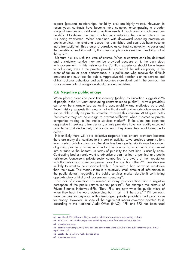aspects (personal relationships, flexibility, etc.) are highly valued. However, in recent years contracts have become more complex, encompassing a broader range of services and addressing multiple needs. In such contracts outcomes can be difficult to define, meaning it is harder to establish the precise nature of the risk being transferred. When combined with downward spending pressure on public services, the relational aspect has diminished and contracts have become more transactional. This creates a paradox; as contract complexity increases and the benefits of flexibility with it, the same complexity is designing flexibility out of the system.

Ultimate risk sits with the state of course. When a contract can't be delivered and a statutory service may not be provided because of it, the buck stops with government. In this insistence the Carillion experience should be a lesson to politicians; even if the private provider carries all the risk on paper, in the event of failure or poor performance, it is politicians who receive the difficult questions and must face the public. Aggressive risk transfer is at the extreme end of transactional behaviour and as it becomes more dominant in the contract, the space where natural obligation should reside diminishes.

# **2.6 Negative public image**

When placed alongside poor transparency (polling by Survation suggests 67%) of people in the UK want outsourcing contracts made public<sup>62</sup>), private providers can often be characterised as lacking accountability and motivated by greed. Recent history suggests this view is not without merit and unfortunately we might not be able to rely on private providers to arrest this concern. At Sturgess notes "self-interest may not be enough to prevent self-harm" when it comes to private companies trading in the public services market<sup>63</sup>. If the state has been too aggressive in seeking to transfer risk, private providers have too readily accepted poor terms and deliberately bid for contracts they knew they would struggle to deliver.

It is unlikely there will be a collective response from private providers because there are many disincentives to this sort of activity. Laws preclude organisations from pre-bid collaboration and the state has been guilty, via its own behaviour, of gaming private providers in order to drive down cost, which turns procurement into a 'race to the bottom'. In terms of publicity the best kind is usually none. Contracting bodies rarely want to advertise a deal for fear of political and public resistance. Conversely, private sector companies "are aware of their reputation with the public and some companies have it worse than others"<sup>64</sup>. Providers are unlikely to want to be associated with a firm with a bad or worse reputation than their own. This means there is a relatively small amount of information in the public domain regarding the public services market despite it constituting approximately a third of all government spending<sup>65</sup>.

This lack of information has resulted in many misconceptions and a negative perception of the public service market persists<sup>66</sup>. For example the mistrust of Private Finance Initiatives (PFI). "They (PFIs) are now what the public thinks of when they hear the word outsourcing but it just isn't the case."67 PFI contracts have become synonymous with disengaged private providers and poor value for money. However, in spite of the significant media coverage devoted to it, according to the National Audit Office (NAO), "PFI and PF2 has been used

<sup>62</sup> We Own It (2015) [New polling shows the public wants a say over outsourcing contracts](https://weownit.org.uk/blog/new-polling-shows-public-wants-say-over-outsourcing-contracts)

<sup>63</sup> BSA (2017) [Just Another Paperclip? Rethinking the Market for Complex Public Services](http://www.bsa-org.com/wp-content/uploads/2017/04/Just-Another-Paperclip-FINAL.pdf)

<sup>64</sup> Interview response

<sup>65</sup> Best Practice Group (2017) [How does our government spend £242bn of our public money a year? NAO](http://www.bestpracticegroup.com/how-does-our-government-spend-242bn-of-our-public-money-a-year-nao-report-reveals-all/)  [report reveals all](http://www.bestpracticegroup.com/how-does-our-government-spend-242bn-of-our-public-money-a-year-nao-report-reveals-all/) 

<sup>66</sup> Localis (2016) [A New Public Service Ethos](https://www.localis.org.uk/wp-content/uploads/2016/11/Localis-A-New-Public-Service-Ethos.pdf)

<sup>67</sup> Interview response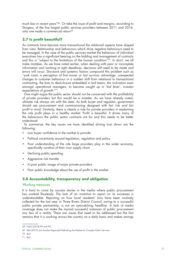much less in recent years"68. Or take the issue of profit and margins, according to Sturgess, of the five largest public services providers between 2011 and 2016, only one made a commercial return<sup>69</sup>.

# **2.7 Is profit beautiful?**

As contracts have become more transactional the relational aspects have slipped from view. Relationship and behaviours which drive negative behaviours need to be managed. In the case of the public services market the behaviour of individual executives has a significant bearing on the bidding and management of contracts and this is "subject to the limitations of the human condition"70. In short, we all make mistakes. As we have noted earlier, when dealing with poor or incomplete information and working to tight deadlines, decisions still need to be made and errors will occur. Structural and systemic factors compound this problem such as "sunk costs, a perception of first mover or last survivor advantage, unexpected changes to customer behaviour in a sudden shift from relational to transactional contracting, the bias to deal-closure embedded in bid teams, the inclination even amongst operational managers, to become caught up in 'bid fever', investor expectations of growth."71

One might argue the public sector should not be concerned with the profitability of private providers but this would be a mistake. As we have already noted, ultimate risk always sits with the state. As both buyer and regulator, government should see procurement and commissioning designed with fair risk *and fair profit* in mind. Similarly, there is clearly a role for private providers in explaining the role profit plays in a healthy market. Profit is beautiful. It drives many of the behaviours the public sector contracts out for and this needs to be better understood.

To summarise, the key issues we have identified driving trust down are the following;

- Low buyer confidence in the market to provide
- Political uncertainty around legislation, regulation and policy
- Poor understanding of the role large providers play in the wider economy, specifically curation of their own supply chain
- Declining public spending
- Aggressive risk transfer
- A poor public image of major private providers
- Poor public knowledge about the use of profit in the market

# **2.8 Accountability, transparency and obligation**

# Working measures

It is hard to come by success stories in the media where public procurement has worked flawlessly. The lack of an incentive to report on its successes is understandable. Reporting on how local residents' bins have been routinely collected for the last year in Three Rivers District Council, owing to a successful public private partnership, is not an eye-catching headline. A lack of media coverage does not make the myriad successful instances of public procurement any less of a reality. There are issues that need to be addressed but the fact remains that it is working across the country on a daily basis and makes savings

<sup>68</sup> NAO (2018) [PFI and PF2](https://www.nao.org.uk/wp-content/uploads/2018/01/PFI-and-PF2.pdf)

<sup>69</sup> BSA (2017) [Just Another Paperclip? Rethinking the Market for Complex Public Services](http://www.bsa-org.com/wp-content/uploads/2017/04/Just-Another-Paperclip-FINAL.pdf)

<sup>70</sup> Ibid

<sup>71</sup> Ibid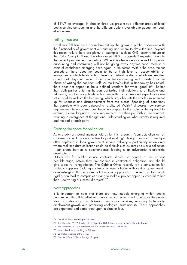of 11%72 on average. In chapter three we present two different areas of local public service outsourcing and the different options available to gauge their costeffectiveness.

# Failing measures

Carillion's fall has once again brought up the growing public discontent with the functionality of government outsourcing and where to draw the line. Beyond this recent failure there are plenty of examples, such as G4S' security failure at the 2012 Olympics<sup>73</sup> and the abandoned NHS IT upgrade<sup>74</sup> exposing flaws in the current procurement procedure. While it is also widely accepted that public outsourcing and contracting will not be going away anytime soon, there is a crisis of confidence emerging once again in the sector. Within the procurement procedure, there does not seem to be a high level of accountability or transparency, which leads to high levels of mistrust as discussed above. Another aspect that plays into recent failings in the outsourcing sector starts from the phase of writing the contract itself. As the NAO's Joshua Reddaway has noted, there does not appear to be a defined standard for what 'good' is<sup>75</sup>. Rather than both parties entering the contract taking their relationship as flexible and relational, what actually tends to happen is that structures and expectations are set in rigid terms from the beginning, which arguably sets the whole arrangement up for sadness and disappointment from the outset. Speaking of conditions that correlate with poor outsourcing results, Ed Welsh<sup>76</sup> discusses how service requirements in a contract can become complex to the point of being hard to explain in clear language. These requirements are then put forth in the contract, resulting in divergence of thought and understanding on what exactly is required and needed of each party.

# Creating the space for obligation

As one advisory panel member told us for this research, "contracts often act as a barrier rather than an incentive to joint working". A rigid contract of the type often deployed in local government service delivery – particularly in an area where real-time data collection could be difficult such as kerbside waste collection – can create barriers to common-sense, leading to an adversarial relationship developing.

Objectives for public service contracts should be agreed at the earliest possible stage, before they are codified in contractual obligation, and should give space for renegotiation. The Cabinet Office recently ran a consultation for strategic suppliers (holding contracts of over £100m with central government), acknowledging that a more collaborative approach is necessary. Too much rigidity can lead to companies "trying to make a project appear successful rather than…delivering a successful project".77

# New Approaches

It is important to note that there are new models emerging within public procurement that, if handled and publicised correctly, stand to improve the public view of outsourcing by delivering innovative services, ensuring high-quality employment growth and promoting ecological sustainability. These approaches are expanded and elaborated upon in chapter four.

<sup>72</sup> Gareth Williams speaking at IFG event.

<sup>73</sup> The Guardian (2012) [London 2012 Olympics: G4S failures prompt further military deployment](https://www.theguardian.com/uk/2012/jul/24/london-2012-olympics-g4s-military)

<sup>74</sup> The Guardian (2013) [Abandoned NHS IT system has cost £10bn so far](https://www.theguardian.com/society/2013/sep/18/nhs-records-system-10bn)

<sup>75</sup> Joshua Reddaway speaking at IFG event

<sup>76</sup> Ed Welsh speaking at IFG event.

<sup>77</sup> Cabinet Office (2018) – Strategic Suppliers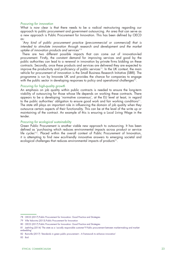#### *Procuring for innovation*

What is now clear is that there needs to be a radical restructuring regarding our approach to public procurement and government outsourcing. An area that can serve as a new approach is Public Procurement for Innovation. This has been defined by OECD as:

*'Any kind of public procurement practice (pre-commercial or commercial) that is*  intended to stimulate innovation through research and development and the market *uptake of innovation products and services'<sup>78</sup>*

There are two different possible impacts that can come out of innovation-led procurement. Firstly, the constant demand for improving services and good by the public authorities can lead to a renewal in innovation by private firms bidding on these contracts. Secondly, once these products and services are delivered they are expected to improve the productivity and proficiency of public services<sup>79</sup>. In the UK context, the main vehicle for procurement of innovation is the Small Business Research Initiative (SBRI). The programme is run by Innovate UK and provides the chance for companies to engage with the public sector in developing responses to policy and operational challenges<sup>80</sup>.

#### *Procuring for high-quality growth*

An emphasis on job quality within public contracts is needed to ensure the long-term viability of outsourcing for those whose life depends on working these contracts. There appears to be a developing 'normative consensus', at the EU level at least, in regard to the public authorities' obligation to ensure good work and fair working conditions<sup>81</sup>. The state still plays an important role in influencing the domain of job quality when they outsource certain aspects of their functionality. This can be at the level of the write up or maintaining of the contract. An example of this is ensuring a Local Living Wage in the tender.

#### *Procuring for ecological sustainability*

Green Public Procurement is another viable new approach to outsourcing. It has been defined as 'purchasing which reduces environmental impacts across product or service life cycles'<sup>82</sup>. Placed within the overall context of Public Procurement of Innovation, it is attempting to find new eco-friendly innovative answers to emerging societal and ecological challenges that reduces environmental impacts of products<sup>83</sup>.

<sup>78</sup> OECD (2017) Public Procurement for Innovation: Good Practice and Strategies

<sup>79</sup> Ville Valovirta (2015) Public Procurement for Innovation

<sup>80</sup> OECD (2017) Public Procurement for Innovation: Good Practice and Strategies

<sup>81</sup> Jaehrling (2014) ['The state as a 'socially responsible customer'? Public procurement between market-making and market](http://journals.sagepub.com/doi/abs/10.1177/0959680114535316)[embedding'](http://journals.sagepub.com/doi/abs/10.1177/0959680114535316) 

<sup>82</sup> Rainville (2017) ['Standards in green public procurement – A framework to enhance innovation'](https://www.sciencedirect.com/science/article/pii/S0959652616316997?via%3Dihub) 

<sup>83</sup> Ibid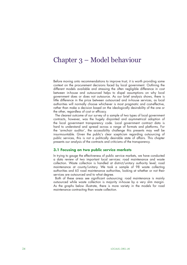# Chapter 3 – Model behaviour

Before moving onto recommendations to improve trust, it is worth providing some context on the procurement decisions faced by local government. Outlining the different models available and stressing the often negligible difference in cost between in-house and outsourced helps to dispel assumptions on why local government does or does not outsource. As our brief analysis shows, there is little difference in the price between outsourced and in-house services, as local authorities will normally choose whichever is most pragmatic and cost-effective, rather than make a decision based on the ideologically desirability of the one or the other, regardless of cost or efficacy.

The clearest outcome of our survey of a sample of two types of local government contracts, however, was the hugely disjointed and asymmetrical adoption of the local government transparency code. Local government contract data is hard to understand and spread across a range of formats and platforms. For the 'armchair auditor', the accessibility challenge this presents may well be insurmountable. Given the public's clear scepticism regarding outsourcing of public services, this is not a politically desirable state of affairs. This chapter presents our analysis of the contracts and criticisms of the transparency.

# **3.1 Focusing on two public service markets**

In trying to gauge the effectiveness of public service markets, we have conducted a data review of two important local services: road maintenance and waste collection. Waste collection is handled at district/unitary authority level; road maintenance at county/unitary. We took a sample of 98 waste collecting authorities and 65 road maintenance authorities, looking at whether or not their services are outsourced and to what degree.

Both of these areas see significant outsourcing: road maintenance is mainly outsourced while waste collection is majority in-house by a very slim margin. As the graphs below illustrate, there is more variety in the models for road maintenance contracting than waste collection.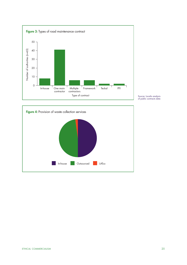

Source: Localis analysis of public contracts data

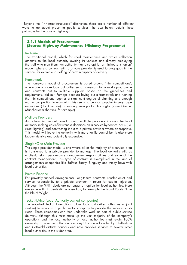Beyond the "in-house/outsourced" distinction, there are a number of different ways to go about procuring public services, the box below details these pathways for the case of highways:

# **3.1.1 Models of Procurement (Source: Highway Maintenance Efficiency Programme)**

#### In-House

The traditional model, which for road maintenance and waste collection amounts to the local authority owning its vehicles and directly employing the staff who man them. An authority may also opt for an 'In-house + top-up' model, where a contract with a private provider is used to plug gaps in the service, for example in staffing of certain aspects of delivery.

# Framework

The framework model of procurement is based around 'mini competitions', where one or more local authorities set a framework for a works programme and contracts out to multiple suppliers based on the guidelines and requirements laid out. Perhaps because laying out a framework and running the mini-competitions requires a significant degree of planning and enough market competition to warrant it, this seems to be most popular in very large authorities (like Cumbria) or among metropolitan boroughs (some Greater Manchester authorities, for example).

# Multiple Providers

An outsourcing model based around multiple providers involves the local authority making cost-effectiveness decisions on a service-by-service basis (i.e. street lighting) and contracting it out to a private provider where appropriate. This model will leave the authority with more tactile control but is also more labour-intensive and potentially expensive.

# Single/One Main Provider

The single provider model is one where all or the majority of a service area is transferred to a private provider to manage. The local authority will, as a client, retain performance management responsibilities and some of the contract management. This type of contract is exemplified in the kind of arrangements companies like Balfour Beatty, Ringway and Amey have with local authorities.

# Private Finance

For privately funded arrangements, long-tenure contracts transfer asset and service responsibility to a private provider in return for capital injection. Although the 'PFI1' deals are no longer an option for local authorities, there are some with PFI deals still in operation, for example the Island Roads PFI in the Isle of Wight.

# Teckal/LATco (Local Authority owned companies)

The so-called Teckal Exemptions allow local authorities (often as a joint venture) to establish a public sector company to provide the services in its stead. These companies can then undertake work as part of public service delivery, although this must make up the vast majority of the company's operations and the local authority or local authorities must retain 100% ownership. The waste collection company Ubico was founded by Cheltenham and Cotswold districts councils and now provides services to several other local authorities in the wider area.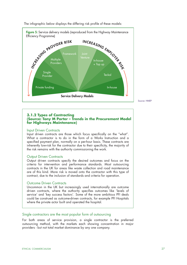

The infographic below displays the differing risk profile of these models:

Source: HMEP

# **3.1.2 Types of Contracting (Source: Tony M Porter – Trends in the Procurement Model for Highways Maintenance)**

#### Input Driven Contracts

Input driven contracts are those which focus specifically on the "what". What a contractor is to do in the form of a Works Instruction and a specified payment plan, normally on a per-hour basis. These contracts are inherently low-risk for the contractor due to their specificity, the majority of the risk remains with the authority commissioning the work.

# Output Driven Contracts

Output driven contracts specify the desired outcomes and focus on the criteria for intervention and performance standards. Most outsourcing contracts in the UK for areas like waste collection and road maintenance are of this kind. More risk is moved onto the contractor with this type of contract, due to the inclusion of standards and criteria for operation.

# Outcome Driven Contracts

Uncommon in the UK but increasingly used internationally are outcome driven contracts, where the authority specifies outcomes like 'levels of service' and 'key success factors'. Some of the more ambitious PFI deals could be construed as outcome-driven contracts, for example PFI Hospitals where the private actor built and operated the hospital.

# Single contractors are the most popular form of outsourcing

For both areas of service provision, a single contractor is the preferred outsourcing method, with the markets each showing concentration in major providers - but not total market dominance by any one company.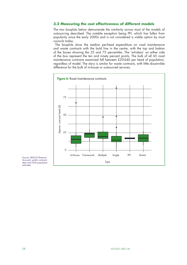# **3.2 Measuring the cost effectiveness of different models**

The two boxplots below demonstrate the similarity across most of the models of outsourcing described. The notable exception being PFI, which has fallen from popularity since the early 2000s and is not considered a viable option by most councils today.

The boxplots show the median per-head expenditure on road maintenance and waste contracts with the bold line in the centre, with the top and bottom of the boxes showing the 25 and 75 percentiles. The 'whiskers' on either side of the box represent the ten and ninety percent points. The bulk of all 65 road maintenance contracts examined fall between £20-£40 per head of population, regardless of model. The story is similar for waste contracts, with little discernible difference for the bulk of in-house or outsourced services.



Source: MHCLG Revenue Accounts, public contracts data and ONS population estimates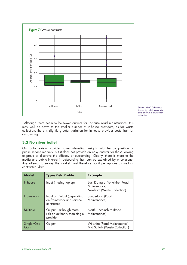

Source: MHCLG Revenue Accounts, public contracts data and ONS population estimates

Although there seem to be fewer outliers for in-house road maintenance, this may well be down to the smaller number of in-house providers, as for waste collection, there is slightly greater variation for in-house provider costs than for outsourcing.

# **3.3 No silver bullet**

Our data review provides some interesting insights into the composition of public service markets, but it does not provide an easy answer for those looking to prove or disprove the efficacy of outsourcing. Clearly, there is more to the media and public interest in outsourcing than can be explained by price alone. Any attempt to survey the market must therefore audit perceptions as well as contractual data.

| <b>Model</b>       | <b>Type/Risk Profile</b>                                              | <b>Example</b>                                                              |
|--------------------|-----------------------------------------------------------------------|-----------------------------------------------------------------------------|
| In-house           | Input (if using top-up)                                               | East Riding of Yorkshire (Road<br>Maintenance)<br>Newham (Waste Collection) |
| Framework          | Input or Output (depending<br>on framework and service<br>contracted) | Sunderland (Road<br>Maintenance)                                            |
| Multiple           | Output – although more<br>risk on authority than single<br>provider   | North Lincolnshire (Road<br>Maintenance)                                    |
| Single/One<br>Main | Output                                                                | Wiltshire (Road Maintenance)<br>Mid Suffolk (Waste Collection)              |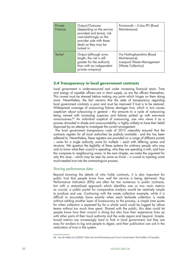| Private<br>Finance | Output/Outcome<br>(depending on the service<br>provided and terms), risk<br>overwhelmingly on the<br>provider side with these<br>deals as they may be<br>locked in. | Portsmouth - Colas PFI (Road<br>Maintenance)                                                  |
|--------------------|---------------------------------------------------------------------------------------------------------------------------------------------------------------------|-----------------------------------------------------------------------------------------------|
| Teckal             | Output (although arms-<br>length, the risk is still<br>greater for the authority<br>than with an independent<br>private company)                                    | Via Nottinghamshire (Road<br>Maintenance)<br>Liverpool Waste Management<br>(Waste Collection) |

# **3.4 Transparency in local government contracts**

Local government is under-resourced and under increasing financial strain. Time and energy of capable officers are in short supply, as are the officers themselves. This caveat must be stressed before making any point which hinges on them doing more. Nevertheless, the fact remains that the state of transparency regarding local government contracts is poor and must be improved if trust is to be restored. Widespread coverage of outsourcing failures damages trust, which in turn causes scepticism about outsourcing in general – this amounts to a cycle of outsourcing being viewed with increasing suspicion and failures picked up with ever-more voraciousness.84 An individual sceptical of outsourcing, one who views it as a process shrouded in shade and unaccountability, is highly unlikely to have their belief disproved by an attempt to investigate the current arrangement.

The local government transparency code of 2015 ostensibly ensured that the contracts register for all local authorities be publicly available - and this has been adhered to. Nevertheless, these registers are provided on a range of different portals – some for a single authority, some for multiple – each with differing syntax and structure. We question the legibility of these systems for ordinary people who may wish to know what their council is spending, who they are spending it with, and how this compares to neighbouring areas. In the next chapter, we make the argument for why this issue – which may be seen by some as trivial – is crucial to injecting some much-needed trust into the contracting-out process.

# Sharing performance data

Beyond knowing the details of who holds contracts, it is also important for public trust that people know how *well* the service is being delivered. Key Performance Indicators (KPIs) are often far too numerous in public contracts, but with a streamlined approach which identifies one or two main metrics as crucial, a public portal for comparative analysis would be relatively simple to produce and use. Continuing with the waste collection example, while it is difficult to accurately know exactly when each kerbside collection is made without adding another layer of bureaucracy to the process, a simple time quota for when collection is expected by for a whole ward could be logged by refuse teams without too much time spent. Shared with the public, this data could let people know how their council is doing but also how their experience lines up with other parts of their local authority and the wide region and beyond. Simple, broad metrics are increasingly hard to find in local government, but they are easy for workers to log and people to digest, and their publication can aid in the restoration of trust in the system.

<sup>84</sup> Van de Walle et al (2003) ['Public Service Performance and Trust in Government: The Problem of Causality'](https://www.tandfonline.com/doi/full/10.1081/PAD-120019352?needAccess=true)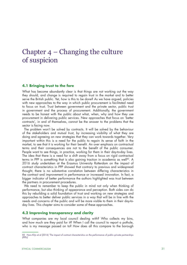# Chapter  $4$  – Changing the culture of suspicion

# **4.1 Bringing trust to the fore**

What has become abundantly clear is that things are not working out the way they should, and change is required to regain trust in the market and to better serve the British public. Yet, how is this to be done? As we have argued, policies with new approaches to the way in which public procurement is facilitated need to focus on trust. Trust between government and the private sector, public trust in government and the process of procurement. Additionally, the government needs to be honest with the public about what, when, why and how they use procurement in delivering public services. New approaches that focus on 'better contracts', in and of themselves, cannot be the answer to the problems that the sector is facing now.

The problem won't be solved by contracts. It will be solved by the behaviour of the stakeholders and mutual trust, by increasing visibility of what they are doing and agreeing on new strategies that they can work towards together. Very important within this is a need for the public to regain its sense of faith in the market, to see that it is working for their benefit. An over emphasis on contractual terms and their consequences are not to the benefit of the public consumer. People want to see things, in practice, working for them in their day-to-day lives. The idea that there is a need for a shift away from a focus on rigid contractual terms in PPP is something that is also gaining traction in academia as well<sup>85</sup>. A 2016 study undertaken at the Erasmus University Rotterdam on the impact of contract characteristics in PPP showed that contrary to previous and widespread thought, there is no substantive correlation between differing characteristics in the contract and improvement in performance or increased innovation. In fact, a bigger indicator of better performance the authors highlighted was trust between the partners in procurement procedures.

We need to remember to keep the public in mind not only when thinking of performance, but also thinking of appearance and perception. Both sides can do this by rebuilding a solid foundation of trust and working on new strategies and approaches to better deliver public services in a way that will be in line with the needs and concerns of the public and will be more visible to them in their day-today lives. This chapter aims to consider some of these approaches.

# **4.2 Improving transparency and clarity**

What companies are my local council dealing with? Who collects my bins, and how much are they paid for it? When I call the council to report a pothole, who is my message passed on to? How does all this compare to the borough

<sup>85</sup> Hans Klijn et al (2016) ['The impact of contract characteristics on the performance of public–private partnerships](https://www.tandfonline.com/doi/pdf/10.1080/09540962.2016.1206756?needAccess=true)  [\(PPPs\)'](https://www.tandfonline.com/doi/pdf/10.1080/09540962.2016.1206756?needAccess=true)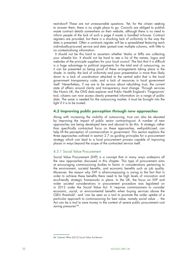next-door? These are not unreasonable questions. Yet, for the citizen seeking to answer them, there is no single place to go. Councils are obliged to publish waste contract details somewhere on their website, although there is no need to inform people of the lack of such a page if waste is handled in-house. Contract registers are provided, but there is a shocking lack of uniformity to the way the data is presented. Often a contracts register will be a spreadsheet featuring each individually-procured service and data spread over multiple columns, with little to no contextualising information.

It should not be this hard to ascertain whether Veolia or Biffa are collecting your wheelie bin. It should not be hard to see a list of the names, logos and websites of the principle suppliers for your local council. The fact that it is difficult is a huge advantage to political arguments for the total end of outsourcing, as it can be presented as being proof of these arrangements taking place in the shade. In reality, the lack of uniformity and poor presentation is more than likely down to a lack of coordination attached to the central edict that is the local government transparency code, and a lack of resources in local government itself. Nevertheless, if we are to be serious about rebuilding trust, the current state of affairs around clarity and transparency must change. Through services like Nomis UK, the ONS data explorer and Public Health England's 'Fingerprints' tool, citizens can now access clearly presented information on a range of public data. The same is needed for the outsourcing market, it must be brought into the light if it is to be trusted.

# **4.3 Improving public perception through new approaches**

Along with increasing the visibility of outsourcing, trust can also be elevated by improving the impact of public sector contracting-out. A number of new approaches are being developed here and abroad to do this. A strategic rather than specifically contractual focus on these approaches, well-publicised, can help lift the perception of commercialism in government. This section explains the three approaches outlined in section 2.7 as guiding principles for a procurement strategy which can lead to a local procurement process capable of improving places in ways beyond the scope of the contracted service itself.

# 4.3.1 Social Value Procurement

Social Value Procurement (SVP) is a concept that in many ways underpins all the new approaches discussed in this chapter. This type of procurement aims at encouraging commissioning bodies to factor in considerations pertaining to the environment, societal benefits, and economic benefits such as job quality. Moreover, the reason why SVP is all-encompassing is owing to the fact that in order to achieve these benefits there need to be high levels of innovation and eco-friendly strategic frameworks in place. In the UK, the focus on SVP and wider societal considerations in procurement procedure was legislated on in 2012 under the Social Value Act. It 'requires commissioners to consider economic, social, or environmental benefits when buying services above the OJEU threshold', and 'can be seen as a tool to promote the wider uptake of a particular approach to commissioning for best value, namely social value … the Act can be a tool to save money in the context of severe public procurement cost saving pressures<sup>'86</sup>.

<sup>86</sup> Cabinet Office (2015) [Social Value Act Review](https://assets.publishing.service.gov.uk/government/uploads/system/uploads/attachment_data/file/403748/Social_Value_Act_review_report_150212.pdf)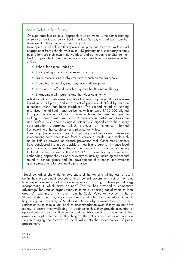#### Social Value in East Sussex

One, perhaps less obvious, approach to social value is the commissioning of services related to public health. In East Sussex, a significant sum has been spent in the community through grants.

Developing a school health improvement plan has received widespread engagement from schools, with over 183 primary and secondary schools putting forward their own initiative ideas and participating to change their health approach. Embedding whole school health improvement activities include:

- School food menu redesign
- Participating in food activities and cooking
- Daily interventions in physical activity such as the Daily Mile
- Promoting active play and playground development
- Investing in staff to deliver high quality health and wellbeing
- Engagement with parents and the wider community

A first round of grants were conditional on ensuring the pupil's voice were heard in school plans, and as a result of priorities identified by children a second round has been introduced. The second round of funding prioritised mental health and wellbeing, with an extra £196,000 aligned to support whole school plans. Nurseries have also been engaged in making a change with over 90% of nurseries in Eastbourne, Hailsham and Seaford CCG and Hastings & Rother CCG signed up to the nursery transformation programme which provides an evidence informed framework to enhance dietary and physical activities.

Identifying the economic impact of primary and secondary prevention interventions have been taken from a variety of models and tools such as the PHE cardiovascular disease prevention tool. Other measurements have considered the impact outside of health and care for instance local productivity and benefits to the local economy. East Sussex is continuing to build on the success of the 2016/17 transformation programme by embedding approaches as part of everyday activity, including the second round of school grants and the development of a health improvement grants programme for community pharmacy.

Local authorities show higher awareness of the Act and willingness to take it on in their procurement procedures than central government, yet at the same time having awareness of it is quite separate to having a developed strategy incorporating it, which many do not<sup>87</sup>. The Act has provided a 'competitive advantage' for smaller organisations in terms of boosting social value to local areas. An example of this, taken from the Social Value Act Review, is that of Station Taxis. The firm, who have been contracted by Sunderland Council, help safeguard University of Sunderland students by allowing them to use their student cards to take a taxi back to accommodation even if they do not have money to ensure their wellbeing. In addition to this, they provide a number of apprenticeships, and facilitate maths and English courses for a number of their drivers amongst a number of other things<sup>88</sup>. The Act is a necessary and important step in bringing the concept of social value into the wider context of public procurement.

<sup>87</sup> Ibid

<sup>88</sup> Ibid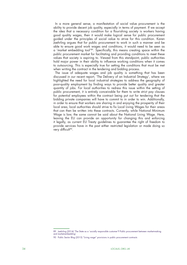In a more general sense, a manifestation of social value procurement is the ability to provide decent job quality, especially in terms of payment. If we accept the idea that a necessary condition for a flourishing society is workers having good quality wages, then it would make logical sense for public procurement guided under the principles of social value to strive for this condition. Karen Jaehrling argues that for public procurement to work in such a manner and be able to ensure good work wages and conditions, it would need to be seen as a 'market embedding tool'89. Specifically, this means creating space within the public procurement market for facilitating and providing conditions to meet these values that society is aspiring to. Viewed from this standpoint, public authorities hold major power in their ability to influence working conditions when it comes to outsourcing. This is especially true for setting the conditions that must be met when writing the contract in the tendering and bidding process.

The issue of adequate wages and job quality is something that has been discussed in our recent report, 'The Delivery of an Industrial Strategy', where we highlighted the need for local industrial strategies to address the geography of poor-quality employment by finding ways to provide better quality and greater quantity of jobs. For local authorities to redress this issue within the setting of public procurement, it is entirely conceivable for them to write strict pay clauses for potential employees within the contract being put out for tendering that the bidding private companies will have to commit to in order to win. Additionally, in order to ensure that workers are sharing in and enjoying the prosperity of their local area, local authorities should strive to fix Local Living Wages for their areas that can then be written into these contracts. Currently, while National Minimum Wage is law, the same cannot be said about the National Living Wage. Here, leaving the EU can provide an opportunity for changing this and enforcing it legally, as current EU Treaty guidelines to guarantee the right of freedom to provide services have in the past either restricted legislation or made doing so very difficult<sup>90</sup>.

<sup>89</sup> Jaehrling (2014) ['The State as a 'socially responsible customer'? Public procurement between market-making](http://journals.sagepub.com/doi/abs/10.1177/0959680114535316)  [and market-embedding'](http://journals.sagepub.com/doi/abs/10.1177/0959680114535316)

<sup>90</sup> Public Sector Blog (2015) ["Living wage" provisions in public procurement contracts](http://publicsectorblog.practicallaw.com/living-wage-provisions-in-public-procurement-contracts/)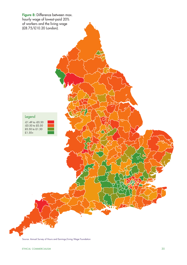

Source: Annual Survey of Hours and Earnings/Living Wage Foundation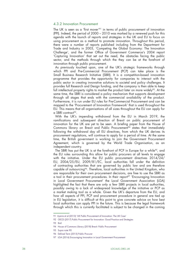#### 4.3.2 Innovation Procurement

The UK is seen as a 'first mover'91 in terms of public procurement of innovation (PPI). Indeed, the period of 2000 – 2010 was marked by a renewed push for this agenda with the launch of reports and strategies in the UK and EU to focus on using procurement as a method to promote innovation. Throughout this period, there were a number of reports published including from the Department for Trade and Industry in 2003, 'Competing the Global Economy: The Innovation Challenge', and the former Office of Government Commerce's 2004 report 'Capturing Innovation' that set out the need, the obstacles facing the public sector, and the methods through which the they can be at the forefront of innovation through public procurement.

As previously touched upon, one of the UK's strategic frameworks through which PPI and Pre-Commercial Procurement (PCP) can take place is the Small Business Research Initiative (SBRI). It is a competition-based innovation programme that provides the opportunity for companies to interact with the public sector in creating innovative solutions to societal and policy challenges. It provides full Research and Design funding, and the company is then able to keep full intellectual property rights to market the product later on more widely<sup>92</sup>. At the same time, the SBRI is considered a policy mechanism that supports development through all stages that ends with the commercial availability of the product. Furthermore, it is run under EU rules for Pre-Commercial Procurement and can be mapped to the 'Procurement of Innovation Framework' that is used throughout the EU. This means that all organisations of all sizes throughout the EU can apply for a SBRI contract<sup>93</sup>.

With the UK's impending withdrawal from the EU in March 2019, the ramifications and subsequent direction of Brexit on public procurement of innovation for the UK are yet to be seen. A briefing paper from the House of Commons library on Brexit and Public Procurement<sup>94</sup> states that immediately following the withdrawal day all EU directives, from which the UK derives its procurement regulations, will continue to apply for a period of time. At the same time, the British government is working to join the Government Procurement Agreement, which is governed by the World Trade Organisation, as an independent country.

The SBRI has put the UK is at the forefront of PCP in Europe for a while<sup>95</sup>, and the EU rules surrounding this allow for public procurers at all levels to engage with the initiative. Under the EU public procurement directives 2014/24/ EU, 2004/25/EU, 2009/81/EC, local authorities fall under the definition of contracting authorities that are governed by public law and are therefore capable of outsourcing<sup>96</sup>. Therefore, local authorities in the United Kingdom, who are responsible for their own procurement decisions, are free to use the SBRI as a tool in their procurement procedures. In their report<sup>97</sup> 'Encouraging Innovation in Local Government Procurement' the Local Government Association (LGA) highlighted the fact that there are only a few SBRI projects in local authorities, possibly owing to a lack of widespread knowledge of the initiative or PCP as a market making tool as a whole. Given the UK's departure from the EU, and how all aspects of PPI, PCP and procurement procedure in general are tied up in EU legislation, it is difficult at this point to give concrete advice on how best local authorities can apply PPI in the future. This is because the legal framework through which this is currently facilitated is subject to be changed in the coming

<sup>91</sup> Uyarra et al (2013) ['UK Public Procurement of Innovation: The UK Case'](https://www.researchgate.net/publication/267151870_UK_Public_Procurement_of_Innovation_The_UK_Case) 

<sup>92</sup> OECD (2017) Public Procurement for Innovation: Good Practice and Strategies

<sup>93</sup> Ibid

<sup>94</sup> House of Commons Library (2018) [Brexit: Public Procurement](http://researchbriefings.files.parliament.uk/documents/CBP-8390/CBP-8390.pdf) 

<sup>95</sup> Supra note 90

<sup>96</sup> Defined Term (2015) [Public Procurer](https://definedterm.com/public_procurer)

<sup>97</sup> LGA (2016) [Encouraging Innovation in Local Government Procurement](https://www.local.gov.uk/sites/default/files/documents/4.35%20Encouraging%20Innovation%20in%20LG%20Procurement_v04_0.pdf)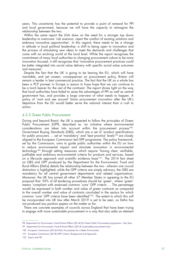years. This uncertainty has the potential to provide a point of renewal for PPI and local government, because we will have the capacity to reimagine the relationship between the two.

Within the same report the LGA drew on the need for a stronger top down leadership to overcome 'risk aversion, reject the comfort of existing solutions and embrace innovative opportunities'. In this regard, there needs to be a change in attitude in local political leadership: a shift to being open to innovation and the process of stimulating new ideas to meet the demands and challenges that come with an evolving world at the local level. While the report recognises the commitment of many local authorities to changing procurement culture to be more innovation focused, it still recognises that 'innovative procurement practices could be better integrated into social value delivery with specific social value outcomes and measures'.

Despite the fact that the UK is going to be leaving the EU, which will have inevitable, and yet unseen, consequences on procurement policy, Britain will remain a leader in best commercial practice. The fact that the UK as a whole has been a PCP pioneer in Europe is reason to have hope that we can continue to be a torch bearer for the rest of the continent. The report shines light on the way that local authorities have failed to seize the advantages of PPI as well as central government has, and provides a large overview of what needs to happen. A policy of 'wait and see around' future procurement innovation after the UK's departure from the EU would better serve the national interest than a rush to action.

#### 4.3.3 Green Public Procurement

During and beyond Brexit, the UK is expected to follow the principles of Green Public Procurement (GPP), described as 'an initiative where environmental considerations are taken into account within the procurement process'98. Government Buying Standards (GBS), which are a set of 'product specifications for public procurers ... set at 'mandatory' and 'best practice' levels'<sup>99</sup> are closely aligned to the European Commission led GPP programme. The policy framework, set by the Commission, aims to guide public authorities within the EU on how to reduce environmental impact and stimulate innovation in environmental technology100 through setting measures which require 'having clear, verifiable, justifiable and ambitious environmental criteria for products and services, based on a life-cycle approach and scientific evidence base'101. The 2014 fact sheet on GBS and GPP produced by the Department for the Environment, Food and Rural Affairs (Defra) details the relationship between the two - wherein one crucial distinction is highlighted; while the GPP criteria are simply advisory, the GBS are mandatory for all central government departments and related organisations. Moreover, the UK has joined all other 27 Member States in agreeing to the EU proposal that '50% of all tendering procedures should be 'green', where 'green' means 'compliant with endorsed common 'core' GPP criteria … The percentage would be expressed in both number and value of green contracts as compared to the overall number and value of contracts concluded in the sectors for which common 'core' GPP criteria have been identified'102. The extent to which this will be incorporated into UK law after March 2019 is yet to be seen, as Defra has not produced any position papers on the matter so far.

There are concrete examples of councils across England that have been trying to engage with more sustainable procurement in a way that also adds an element

<sup>98</sup> Department for Environment, Food & Rural Affairs (2014) [EU Green Public Procurement programme – Key facts](https://assets.publishing.service.gov.uk/government/uploads/system/uploads/attachment_data/file/324706/EU_Green_Public_Procurement_programme_-_Key_facts.pdf)

<sup>99</sup> Department for Environment, Food & Rural Affairs (2014) [Sustainable procurement tools](https://www.gov.uk/guidance/sustainable-procurement-tools)

<sup>100</sup> European Commission (2016) [Public Procurement for a Better Environment](http://ec.europa.eu/environment/gpp/gpp_policy_en.htm)

<sup>101</sup> European Commission (2018) [GPP Criteria: Background and Approach](http://ec.europa.eu/environment/gpp/gpp_criteria_en.htm)

<sup>102</sup> Supra note 98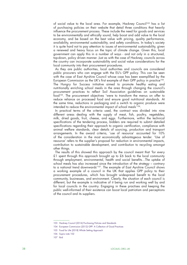of social value to the local area. For example, Hackney Council<sup>103</sup> has a list of purchasing policies on their website that detail three conditions that heavily influence the procurement process. These include the need for goods and services to be environmentally and ethically sound, help boost and add value to the local economy, and be based on the best value with pricing, quality performance, availability, environmental sustainability, and safety conditions. In today's society it is quite hard not to pay attention to issues of environmental sustainability, given a renewed and heavy focus on the topic of climate change. Given this, local government can apply this in a number of ways - and not only in a structured, top-down, policy driven manner. Just as with the case of Hackney, councils across the country can incorporate sustainability and social value considerations for the local community into their procurement procedures.

As they are public authorities, local authorities and councils are considered public procurers who can engage with the EU's GPP policy. This can be seen with the case of East Ayrshire Council whose case has been exemplified by the European Commission as the UK's first example of their GPP policy in practice<sup>104</sup>. The Hungry for Success initiative aimed to promote healthy eating and nutritionally enriching school meals in the area through changing the council's procurement practices to reflect Soil Association guidelines on sustainable food<sup>105</sup>. The procurement objectives 'were to transform the menus on offer to reduce reliance on processed food and ensure good nutritional standards. At the same time, reductions in packaging and a switch to organic produce were intended to reduce the environmental impact of school meals'106.

In practical terms of the criteria used, the contract was divided into nine different areas dealing with the supply of meat, fish, poultry, vegetables, milk, dried goods, fruit, cheese, and eggs. Furthermore, within the technical specifications of the tendering process, bidders are required to submit detailed specifications regarding their approach to organic certification, compliance with animal welfare standards, clear details of sourcing, production and transport arrangements. In the award criteria, 'use of resource' accounted for 10% of the consideration in the most economically advantageous tender. 'Use of resource' refers to the supplier's proposal for reduction in environmental impacts, contribution to sustainable development, and contribution to recycling amongst other things.

The results of this showed this approach by the council meant that 'for every £1 spent through this approach brought up to £6 back to the local community through employment, environmental, health and social benefits…The uptake of school meals has also increased since the introduction of the strategy – contrary to a national trend downwards'107. The example of East Ayrshire Council shows a working example of a council in the UK that applies GPP policy to their procurement procedures, which has brought widespread benefit to the local community, businesses, and environment. Clearly, the situation of each council is different, but the example is indicative of it being run and working well by and for local councils in the country. Engaging in these practises and keeping the public well-informed of their existence can boost local patriotism and perceptions of the council and its suppliers.

<sup>103</sup> Hackney Council (2016) [Purchasing Policies and Standards](https://hackney.gov.uk/purchasing-policies)

<sup>104</sup> European Commission (2012) [GPP: A Collection of Good Practices](http://ec.europa.eu/environment/gpp/pdf/GPP_Good_Practices_Brochure.pdf)

<sup>105</sup> Food for Life (2018) [Whole Setting Approach](https://www.foodforlife.org.uk/about-us/transforming-food-culture/whole-setting-approach)

<sup>106</sup> Supra note 102

<sup>107</sup> Ibid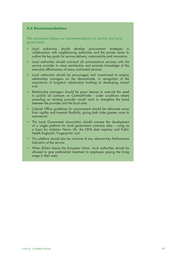# **4.4 Recommendations**

We summarise below our recommendations to central and local government.

- Local authorities should develop procurement strategies in collaboration with neighbouring authorities and the private sector to outline the key goals for service delivery, sustainability and innovation
- Local authorities should co-brand all contracted-out services with the service provider to stress partnership and promote knowledge of the everyday effectiveness of many contracted services.
- Local authorities should be encouraged and incentivised to employ relationship managers on the demand-side, in recognition of the importance of long-term relationship building to developing mutual trust.
- Relationship managers should be given leeway to overrule the need to publish all contracts on ContractFinder - under conditions where awarding an existing provider would work to strengthen the bond between the provider and the local area.
- Cabinet Office guidelines for procurement should be refocused away from rigidity and towards flexibility, giving both sides greater room to manoeuvre.
- The Local Government Association should oversee the development of a single platform for local government contracts data – using as a basis for imitation Nomis UK, the ONS data explorer and Public Health England's 'Fingerprints' tool.
- This platform should also be inclusive of any relevant Key Performance Indicators of the service.
- When Britain leaves the European Union, local authorities should be allowed to give preferential treatment to employers paying the living wage in their area.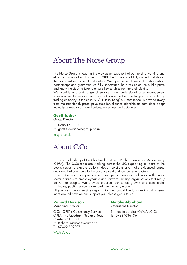# About The Norse Group

The Norse Group is leading the way as an exponent of partnership working and ethical commercialism. Formed in 1988, the Group is publicly owned and shares the same values as local authorities. We operate what we call 'public-public' partnerships and guarantee we fully understand the pressure on the public purse and know the steps to take to ensure key services run more efficiently.

We provide a broad range of services from professional asset management to environmental services and are acknowledged as the largest local authority trading company in the country. Our 'insourcing' business model is a world away from the traditional, prescriptive supplier/client relationship as both sides adopt mutually agreed and shared values, objectives and outcomes.

# **Geoff Tucker**

Group Director

- T: 07850 637780
- E: geoff.tucker@norsegroup.co.uk

ncsgrp.co.uk

# About C.Co

C.Co is a subsidiary of the Chartered Institute of Public Finance and Accountancy (CIPFA). The C.Co team are working across the UK, supporting all parts of the public sector to explore options, design solutions and make evidenced based decisions that contribute to the advancement and wellbeing of society

The C.Co team are passionate about public services and work with public sector partners to create dynamic and forward thinking organisations that really deliver for people. We provide practical advice on growth and commercial strategies, public service reform and new delivery models.

If you are a public service organisation and would like to share insight or learn more around how we can support you, please get in touch.

# **Richard Harrison**

Managing Director

C.Co, CIPFA's Consultancy Service CIPFA, The Quadrant, Sealand Road, Chester, CH1 4QR

- E: Richard.harrison@wearec.co
- T: 07422 509007

WeAreC.Co

# **Natalie Abraham**

Operations Director

- E: natalie.abraham@WeAreC.Co
- T: 07834686136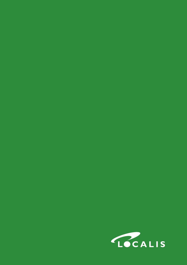